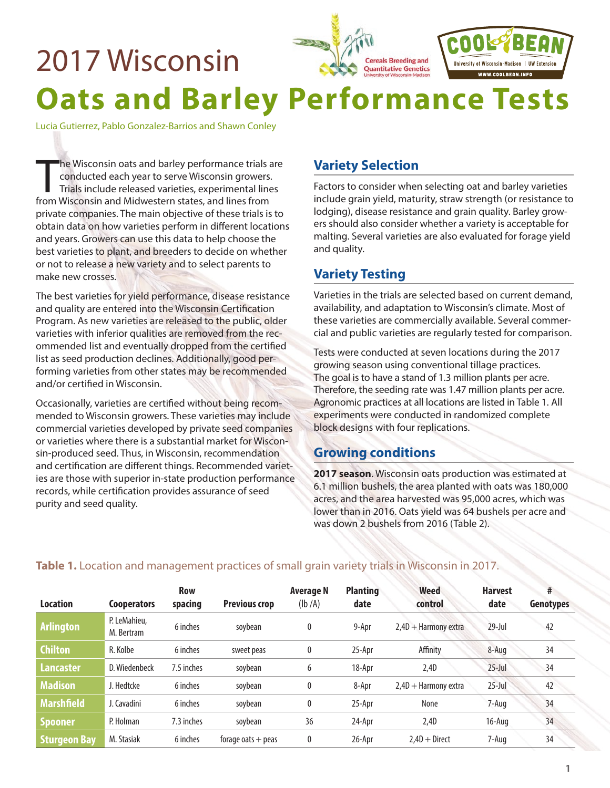

Lucia Gutierrez, Pablo Gonzalez-Barrios and Shawn Conley

The Wisconsin oats and barley performance trials and conducted each year to serve Wisconsin growers.<br>Trials include released varieties, experimental line<br>from Wisconsin and Midwestern states, and lines from he Wisconsin oats and barley performance trials are conducted each year to serve Wisconsin growers. Trials include released varieties, experimental lines private companies. The main objective of these trials is to obtain data on how varieties perform in different locations and years. Growers can use this data to help choose the best varieties to plant, and breeders to decide on whether or not to release a new variety and to select parents to make new crosses.

The best varieties for yield performance, disease resistance and quality are entered into the Wisconsin Certification Program. As new varieties are released to the public, older varieties with inferior qualities are removed from the recommended list and eventually dropped from the certified list as seed production declines. Additionally, good performing varieties from other states may be recommended and/or certified in Wisconsin.

Occasionally, varieties are certified without being recommended to Wisconsin growers. These varieties may include commercial varieties developed by private seed companies or varieties where there is a substantial market for Wisconsin-produced seed. Thus, in Wisconsin, recommendation and certification are different things. Recommended varieties are those with superior in-state production performance records, while certification provides assurance of seed purity and seed quality.

# **Variety Selection**

Factors to consider when selecting oat and barley varieties include grain yield, maturity, straw strength (or resistance to lodging), disease resistance and grain quality. Barley growers should also consider whether a variety is acceptable for malting. Several varieties are also evaluated for forage yield and quality.

# **Variety Testing**

Varieties in the trials are selected based on current demand, availability, and adaptation to Wisconsin's climate. Most of these varieties are commercially available. Several commercial and public varieties are regularly tested for comparison.

Tests were conducted at seven locations during the 2017 growing season using conventional tillage practices. The goal is to have a stand of 1.3 million plants per acre. Therefore, the seeding rate was 1.47 million plants per acre. Agronomic practices at all locations are listed in Table 1. All experiments were conducted in randomized complete block designs with four replications.

## **Growing conditions**

**2017 season**. Wisconsin oats production was estimated at 6.1 million bushels, the area planted with oats was 180,000 acres, and the area harvested was 95,000 acres, which was lower than in 2016. Oats yield was 64 bushels per acre and was down 2 bushels from 2016 (Table 2).

| <b>Location</b>     | <b>Cooperators</b>         | <b>Row</b><br>spacing | <b>Previous crop</b> | <b>Average N</b><br>(lb/A) | <b>Planting</b><br>date | <b>Weed</b><br>control | <b>Harvest</b><br>date | #<br><b>Genotypes</b> |
|---------------------|----------------------------|-----------------------|----------------------|----------------------------|-------------------------|------------------------|------------------------|-----------------------|
| <b>Arlington</b>    | P. LeMahieu,<br>M. Bertram | 6 inches              | soybean              | 0                          | 9-Apr                   | $2.4D +$ Harmony extra | $29$ -Jul              | 42                    |
| <b>Chilton</b>      | R. Kolbe                   | 6 inches              | sweet peas           | $\mathbf{0}$               | 25-Apr                  | Affinity               | 8-Aug                  | 34                    |
| <b>Lancaster</b>    | D. Wiedenbeck              | 7.5 inches            | soybean              | 6                          | 18-Apr                  | 2,4D                   | $25$ -Jul              | 34                    |
| <b>Madison</b>      | J. Hedtcke                 | 6 inches              | soybean              | 0                          | 8-Apr                   | $2,4D +$ Harmony extra | $25$ -Jul              | 42                    |
| <b>Marshfield</b>   | J. Cavadini                | 6 inches              | soybean              | 0                          | 25-Apr                  | None                   | 7-Aug                  | 34                    |
| <b>Spooner</b>      | P. Holman                  | 7.3 inches            | soybean              | 36                         | 24-Apr                  | 2,4D                   | 16-Aug                 | 34                    |
| <b>Sturgeon Bay</b> | M. Stasiak                 | 6 inches              | forage oats $+$ peas | 0                          | 26-Apr                  | $2.4D + Direct$        | 7-Aug                  | 34                    |

### **Table 1.** Location and management practices of small grain variety trials in Wisconsin in 2017.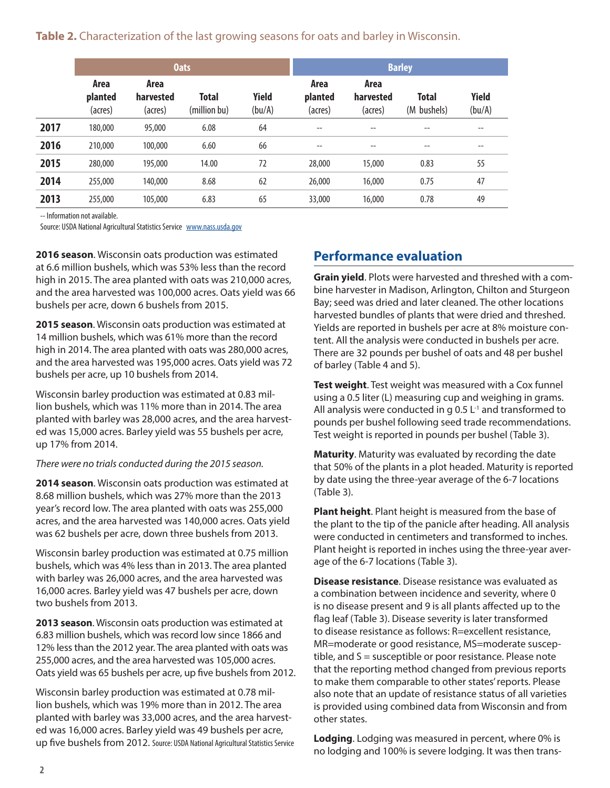**Table 2.** Characterization of the last growing seasons for oats and barley in Wisconsin.

|      |                            |                              | <b>Oats</b>                  |                        |                            | <b>Barley</b>                |                      |                        |  |  |  |  |  |
|------|----------------------------|------------------------------|------------------------------|------------------------|----------------------------|------------------------------|----------------------|------------------------|--|--|--|--|--|
|      | Area<br>planted<br>(acres) | Area<br>harvested<br>(acres) | <b>Total</b><br>(million bu) | <b>Yield</b><br>(bu/A) | Area<br>planted<br>(acres) | Area<br>harvested<br>(acres) | Total<br>(M bushels) | <b>Yield</b><br>(bu/A) |  |  |  |  |  |
| 2017 | 180,000                    | 95,000                       | 6.08                         | 64                     | $- -$                      | --                           |                      | --                     |  |  |  |  |  |
| 2016 | 210,000                    | 100,000                      | 6.60                         | 66                     | $-$                        | $- -$                        | $- -$                | $- -$                  |  |  |  |  |  |
| 2015 | 280,000                    | 195,000                      | 14.00                        | 72                     | 28,000                     | 15,000                       | 0.83                 | 55                     |  |  |  |  |  |
| 2014 | 255,000                    | 140,000                      | 8.68                         | 62                     | 26,000                     | 16,000                       | 0.75                 | 47                     |  |  |  |  |  |
| 2013 | 255,000                    | 105,000                      | 6.83                         | 65                     | 33,000                     | 16,000                       | 0.78                 | 49                     |  |  |  |  |  |

-- Information not available.

Source: USDA National Agricultural Statistics Service [www.nass.usda.gov](http://www.nass.usda.gov)

**2016 season**. Wisconsin oats production was estimated at 6.6 million bushels, which was 53% less than the record high in 2015. The area planted with oats was 210,000 acres, and the area harvested was 100,000 acres. Oats yield was 66 bushels per acre, down 6 bushels from 2015.

**2015 season**. Wisconsin oats production was estimated at 14 million bushels, which was 61% more than the record high in 2014. The area planted with oats was 280,000 acres, and the area harvested was 195,000 acres. Oats yield was 72 bushels per acre, up 10 bushels from 2014.

Wisconsin barley production was estimated at 0.83 million bushels, which was 11% more than in 2014. The area planted with barley was 28,000 acres, and the area harvested was 15,000 acres. Barley yield was 55 bushels per acre, up 17% from 2014.

#### *There were no trials conducted during the 2015 season.*

**2014 season**. Wisconsin oats production was estimated at 8.68 million bushels, which was 27% more than the 2013 year's record low. The area planted with oats was 255,000 acres, and the area harvested was 140,000 acres. Oats yield was 62 bushels per acre, down three bushels from 2013.

Wisconsin barley production was estimated at 0.75 million bushels, which was 4% less than in 2013. The area planted with barley was 26,000 acres, and the area harvested was 16,000 acres. Barley yield was 47 bushels per acre, down two bushels from 2013.

**2013 season**. Wisconsin oats production was estimated at 6.83 million bushels, which was record low since 1866 and 12% less than the 2012 year. The area planted with oats was 255,000 acres, and the area harvested was 105,000 acres. Oats yield was 65 bushels per acre, up five bushels from 2012.

Wisconsin barley production was estimated at 0.78 million bushels, which was 19% more than in 2012. The area planted with barley was 33,000 acres, and the area harvested was 16,000 acres. Barley yield was 49 bushels per acre, up five bushels from 2012. Source: USDA National Agricultural Statistics Service

# **Performance evaluation**

**Grain yield**. Plots were harvested and threshed with a combine harvester in Madison, Arlington, Chilton and Sturgeon Bay; seed was dried and later cleaned. The other locations harvested bundles of plants that were dried and threshed. Yields are reported in bushels per acre at 8% moisture content. All the analysis were conducted in bushels per acre. There are 32 pounds per bushel of oats and 48 per bushel of barley (Table 4 and 5).

**Test weight**. Test weight was measured with a Cox funnel using a 0.5 liter (L) measuring cup and weighing in grams. All analysis were conducted in g 0.5  $L$ <sup>1</sup> and transformed to pounds per bushel following seed trade recommendations. Test weight is reported in pounds per bushel (Table 3).

**Maturity**. Maturity was evaluated by recording the date that 50% of the plants in a plot headed. Maturity is reported by date using the three-year average of the 6-7 locations (Table 3).

**Plant height**. Plant height is measured from the base of the plant to the tip of the panicle after heading. All analysis were conducted in centimeters and transformed to inches. Plant height is reported in inches using the three-year average of the 6-7 locations (Table 3).

**Disease resistance**. Disease resistance was evaluated as a combination between incidence and severity, where 0 is no disease present and 9 is all plants affected up to the flag leaf (Table 3). Disease severity is later transformed to disease resistance as follows: R=excellent resistance, MR=moderate or good resistance, MS=moderate susceptible, and S = susceptible or poor resistance. Please note that the reporting method changed from previous reports to make them comparable to other states' reports. Please also note that an update of resistance status of all varieties is provided using combined data from Wisconsin and from other states.

**Lodging**. Lodging was measured in percent, where 0% is no lodging and 100% is severe lodging. It was then trans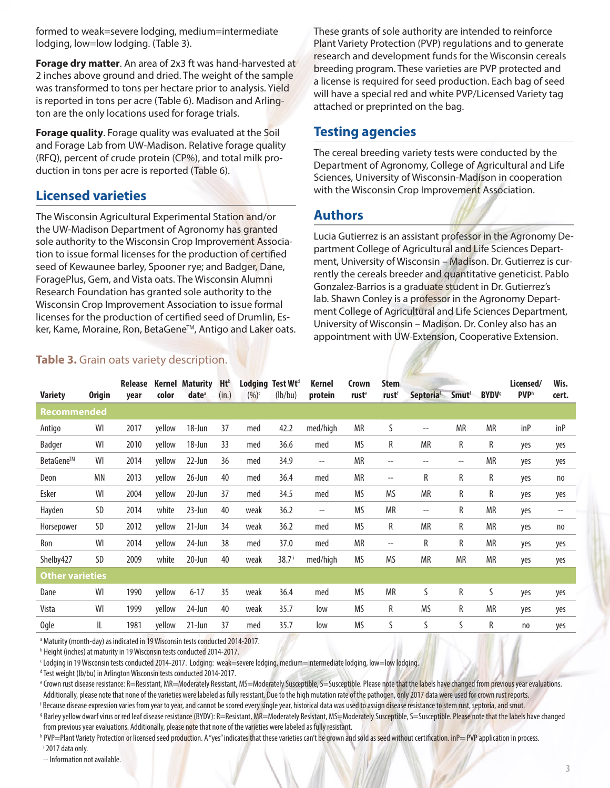formed to weak=severe lodging, medium=intermediate lodging, low=low lodging. (Table 3).

**Forage dry matter**. An area of 2x3 ft was hand-harvested at 2 inches above ground and dried. The weight of the sample was transformed to tons per hectare prior to analysis. Yield is reported in tons per acre (Table 6). Madison and Arlington are the only locations used for forage trials.

**Forage quality**. Forage quality was evaluated at the Soil and Forage Lab from UW-Madison. Relative forage quality (RFQ), percent of crude protein (CP%), and total milk production in tons per acre is reported (Table 6).

#### **Licensed varieties**

The Wisconsin Agricultural Experimental Station and/or the UW-Madison Department of Agronomy has granted sole authority to the Wisconsin Crop Improvement Association to issue formal licenses for the production of certified seed of Kewaunee barley, Spooner rye; and Badger, Dane, ForagePlus, Gem, and Vista oats. The Wisconsin Alumni Research Foundation has granted sole authority to the Wisconsin Crop Improvement Association to issue formal licenses for the production of certified seed of Drumlin, Esker, Kame, Moraine, Ron, BetaGene<sup>™</sup>, Antigo and Laker oats.

#### **Table 3.** Grain oats variety description.

These grants of sole authority are intended to reinforce Plant Variety Protection (PVP) regulations and to generate research and development funds for the Wisconsin cereals breeding program. These varieties are PVP protected and a license is required for seed production. Each bag of seed will have a special red and white PVP/Licensed Variety tag attached or preprinted on the bag.

#### **Testing agencies**

The cereal breeding variety tests were conducted by the Department of Agronomy, College of Agricultural and Life Sciences, University of Wisconsin-Madison in cooperation with the Wisconsin Crop Improvement Association.

#### **Authors**

Lucia Gutierrez is an assistant professor in the Agronomy Department College of Agricultural and Life Sciences Department, University of Wisconsin – Madison. Dr. Gutierrez is currently the cereals breeder and quantitative geneticist. Pablo Gonzalez-Barrios is a graduate student in Dr. Gutierrez's lab. Shawn Conley is a professor in the Agronomy Department College of Agricultural and Life Sciences Department, University of Wisconsin – Madison. Dr. Conley also has an appointment with UW-Extension, Cooperative Extension.

|                        |               | <b>Release</b> | Kernel | <b>Maturity</b>   | <b>Ht</b> <sup>b</sup> | Lodging | Test Wt <sup>d</sup> | Kernel                   | Crown             | <b>Stem</b>              |                          |                   |                          | Licensed/   | Wis.  |
|------------------------|---------------|----------------|--------|-------------------|------------------------|---------|----------------------|--------------------------|-------------------|--------------------------|--------------------------|-------------------|--------------------------|-------------|-------|
| <b>Variety</b>         | <b>Origin</b> | year           | color  | date <sup>a</sup> | (in.)                  | (96)c   | (lb/bu)              | protein                  | rust <sup>e</sup> | rustf                    | <b>Septoriaf</b>         | Smutf             | <b>BYDV</b> <sup>9</sup> | <b>PVPh</b> | cert. |
| Recommended            |               |                |        |                   |                        |         |                      |                          |                   |                          |                          |                   |                          |             |       |
| Antigo                 | WI            | 2017           | yellow | 18-Jun            | 37                     | med     | 42.2                 | med/high                 | <b>MR</b>         | S                        | $\overline{\phantom{m}}$ | <b>MR</b>         | <b>MR</b>                | inP         | inP   |
| Badger                 | WI            | 2010           | yellow | 18-Jun            | 33                     | med     | 36.6                 | med                      | <b>MS</b>         | R                        | <b>MR</b>                | R                 | R                        | yes         | yes   |
| BetaGene™              | WI            | 2014           | yellow | 22-Jun            | 36                     | med     | 34.9                 | $- -$                    | <b>MR</b>         | $- -$                    | $- -$                    | $\qquad \qquad -$ | <b>MR</b>                | yes         | yes   |
| Deon                   | MN            | 2013           | yellow | $26$ -Jun         | 40                     | med     | 36.4                 | med                      | <b>MR</b>         | $- -$                    | R                        | R                 | R                        | yes         | no    |
| Esker                  | WI            | 2004           | yellow | 20-Jun            | 37                     | med     | 34.5                 | med                      | <b>MS</b>         | <b>MS</b>                | <b>MR</b>                | R                 | R                        | yes         | yes   |
| Hayden                 | SD            | 2014           | white  | $23$ -Jun         | 40                     | weak    | 36.2                 | $\overline{\phantom{a}}$ | <b>MS</b>         | <b>MR</b>                | $\overline{\phantom{m}}$ | R                 | <b>MR</b>                | yes         | $-$   |
| Horsepower             | SD            | 2012           | yellow | $21$ -Jun         | 34                     | weak    | 36.2                 | med                      | <b>MS</b>         | R                        | <b>MR</b>                | R                 | <b>MR</b>                | yes         | no    |
| Ron                    | WI            | 2014           | yellow | 24-Jun            | 38                     | med     | 37.0                 | med                      | <b>MR</b>         | $\overline{\phantom{a}}$ | R                        | R                 | <b>MR</b>                | yes         | yes   |
| Shelby427              | SD            | 2009           | white  | 20-Jun            | 40                     | weak    | 38.7 <sup>1</sup>    | med/high                 | MS                | <b>MS</b>                | <b>MR</b>                | <b>MR</b>         | <b>MR</b>                | yes         | yes   |
| <b>Other varieties</b> |               |                |        |                   |                        |         |                      |                          |                   |                          |                          |                   |                          |             |       |
| Dane                   | WI            | 1990           | yellow | $6 - 17$          | 35                     | weak    | 36.4                 | med                      | <b>MS</b>         | <b>MR</b>                | S                        | R                 | S                        | yes         | yes   |
| Vista                  | WI            | 1999           | yellow | 24-Jun            | 40                     | weak    | 35.7                 | low                      | <b>MS</b>         | R                        | MS                       | R                 | <b>MR</b>                | yes         | yes   |
| <b>Ogle</b>            | IL            | 1981           | yellow | $21$ -Jun         | 37                     | med     | 35.7                 | low                      | MS                | S                        | S                        | S                 | R                        | no          | yes   |

<sup>a</sup> Maturity (month-day) as indicated in 19 Wisconsin tests conducted 2014-2017.

<sup>b</sup> Height (inches) at maturity in 19 Wisconsin tests conducted 2014-2017.

c Lodging in 19 Wisconsin tests conducted 2014-2017. Lodging: weak=severe lodging, medium=intermediate lodging, low=low lodging.

<sup>d</sup> Test weight (lb/bu) in Arlington Wisconsin tests conducted 2014-2017.

e Crown rust disease resistance: R=Resistant, MR=Moderately Resistant, MS=Moderately Susceptible, S=Susceptible. Please note that the labels have changed from previous year evaluations. Additionally, please note that none of the varieties were labeled as fully resistant. Due to the high mutation rate of the pathogen, only 2017 data were used for crown rust reports.

<sup>f</sup> Because disease expression varies from year to year, and cannot be scored every single year, historical data was used to assign disease resistance to stem rust, septoria, and smut. g Barley yellow dwarf virus or red leaf disease resistance (BYDV): R=Resistant, MR=Moderately Resistant, MS=Moderately Susceptible, S=Susceptible. Please note that the labels have changed from previous year evaluations. Additionally, please note that none of the varieties were labeled as fully resistant.

h PVP=Plant Variety Protection or licensed seed production. A "yes" indicates that these varieties can't be grown and sold as seed without certification. inP= PVP application in process. i 2017 data only.

-- Information not available.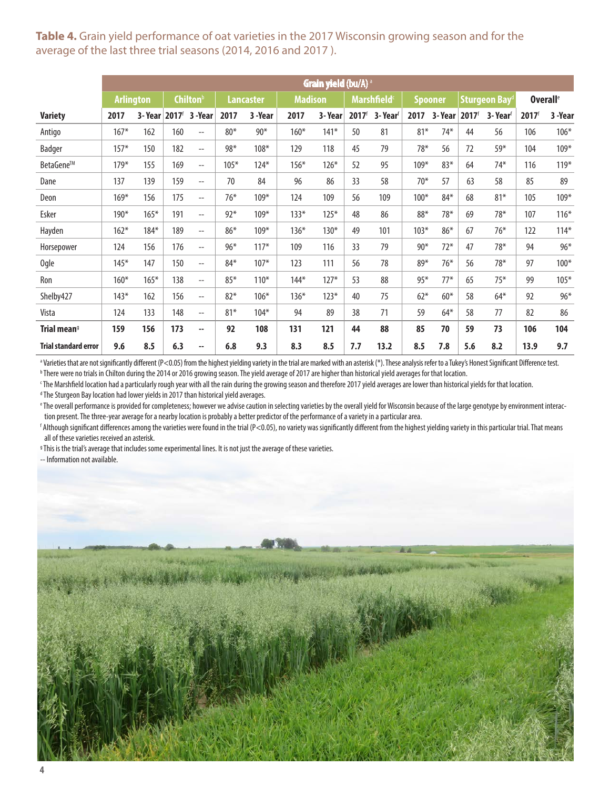### **Table 4.** Grain yield performance of oat varieties in the 2017 Wisconsin growing season and for the average of the last three trial seasons (2014, 2016 and 2017 ).

|                             |                  |        |                   |                          |        |                  |        | Grain yield (bu/A) a |                   |                                |        |                |                   |               |                     |                             |
|-----------------------------|------------------|--------|-------------------|--------------------------|--------|------------------|--------|----------------------|-------------------|--------------------------------|--------|----------------|-------------------|---------------|---------------------|-----------------------------|
|                             | <b>Arlington</b> |        |                   | <b>Chilton</b> b         |        | <b>Lancaster</b> |        | <b>Madison</b>       |                   | <b>Marshfield</b> <sup>c</sup> |        | <b>Spooner</b> |                   | Sturgeon Bayd |                     | <b>Overall</b> <sup>e</sup> |
| <b>Variety</b>              | 2017             | 3-Year | 2017 <sup>f</sup> | 3 -Year                  | 2017   | 3-Year           | 2017   | 3-Year               | 2017 <sup>f</sup> | 3-Year <sup>f</sup>            | 2017   | 3-Year         | 2017 <sup>6</sup> | 3- Yearf      | $2017$ <sup>f</sup> | 3 -Year                     |
| Antigo                      | $167*$           | 162    | 160               | $-$                      | $80*$  | $90*$            | $160*$ | $141*$               | 50                | 81                             | $81*$  | $74*$          | 44                | 56            | 106                 | $106*$                      |
| Badger                      | $157*$           | 150    | 182               | $\overline{\phantom{a}}$ | $98*$  | $108*$           | 129    | 118                  | 45                | 79                             | $78*$  | 56             | 72                | $59*$         | 104                 | $109*$                      |
| BetaGene™                   | $179*$           | 155    | 169               | $\overline{\phantom{a}}$ | $105*$ | $124*$           | $156*$ | $126*$               | 52                | 95                             | $109*$ | $83*$          | 64                | $74*$         | 116                 | 119*                        |
| Dane                        | 137              | 139    | 159               | $\overline{\phantom{a}}$ | 70     | 84               | 96     | 86                   | 33                | 58                             | $70*$  | 57             | 63                | 58            | 85                  | 89                          |
| Deon                        | $169*$           | 156    | 175               | $\overline{a}$           | $76*$  | $109*$           | 124    | 109                  | 56                | 109                            | $100*$ | $84*$          | 68                | $81*$         | 105                 | $109*$                      |
| Esker                       | 190*             | $165*$ | 191               | $- -$                    | $92*$  | $109*$           | $133*$ | $125*$               | 48                | 86                             | 88*    | $78*$          | 69                | $78*$         | 107                 | $116*$                      |
| Hayden                      | $162*$           | $184*$ | 189               | $\overline{a}$           | $86*$  | $109*$           | $136*$ | $130*$               | 49                | 101                            | $103*$ | $86*$          | 67                | $76*$         | 122                 | $114*$                      |
| Horsepower                  | 124              | 156    | 176               | $- -$                    | $96*$  | $117*$           | 109    | 116                  | 33                | 79                             | $90*$  | $72*$          | 47                | 78*           | 94                  | $96*$                       |
| <b>Ogle</b>                 | $145*$           | 147    | 150               | $\overline{a}$           | $84*$  | $107*$           | 123    | 111                  | 56                | 78                             | 89*    | $76*$          | 56                | $78*$         | 97                  | $100*$                      |
| Ron                         | $160*$           | $165*$ | 138               | $\overline{\phantom{m}}$ | $85*$  | $110*$           | $144*$ | $127*$               | 53                | 88                             | $95*$  | $77*$          | 65                | $75*$         | 99                  | $105*$                      |
| Shelby427                   | $143*$           | 162    | 156               | $\overline{a}$           | $82*$  | $106*$           | $136*$ | $123*$               | 40                | 75                             | $62*$  | $60*$          | 58                | $64*$         | 92                  | 96*                         |
| Vista                       | 124              | 133    | 148               | $\overline{a}$           | $81*$  | $104*$           | 94     | 89                   | 38                | 71                             | 59     | $64*$          | 58                | 77            | 82                  | 86                          |
| Trial mean <sup>9</sup>     | 159              | 156    | 173               | $\sim$                   | 92     | 108              | 131    | 121                  | 44                | 88                             | 85     | 70             | 59                | 73            | 106                 | 104                         |
| <b>Trial standard error</b> | 9.6              | 8.5    | 6.3               | ٠.                       | 6.8    | 9.3              | 8.3    | 8.5                  | 7.7               | 13.2                           | 8.5    | 7.8            | 5.6               | 8.2           | 13.9                | 9.7                         |

d Varieties that are not significantly different (P<0.05) from the highest yielding variety in the trial are marked with an asterisk (\*). These analysis refer to a Tukey's Honest Significant Difference test.

b There were no trials in Chilton during the 2014 or 2016 growing season. The yield average of 2017 are higher than historical yield averages for that location.

c The Marshfield location had a particularly rough year with all the rain during the growing season and therefore 2017 yield averages are lower than historical yields for that location.

<sup>d</sup> The Sturgeon Bay location had lower yields in 2017 than historical yield averages.

e The overall performance is provided for completeness; however we advise caution in selecting varieties by the overall yield for Wisconsin because of the large genotype by environment interaction present. The three-year average for a nearby location is probably a better predictor of the performance of a variety in a particular area.

f Although significant differences among the varieties were found in the trial (P<0.05), no variety was significantly different from the highest yielding variety in this particular trial. That means all of these varieties received an asterisk.

<sup>g</sup> This is the trial's average that includes some experimental lines. It is not just the average of these varieties.

-- Information not available.